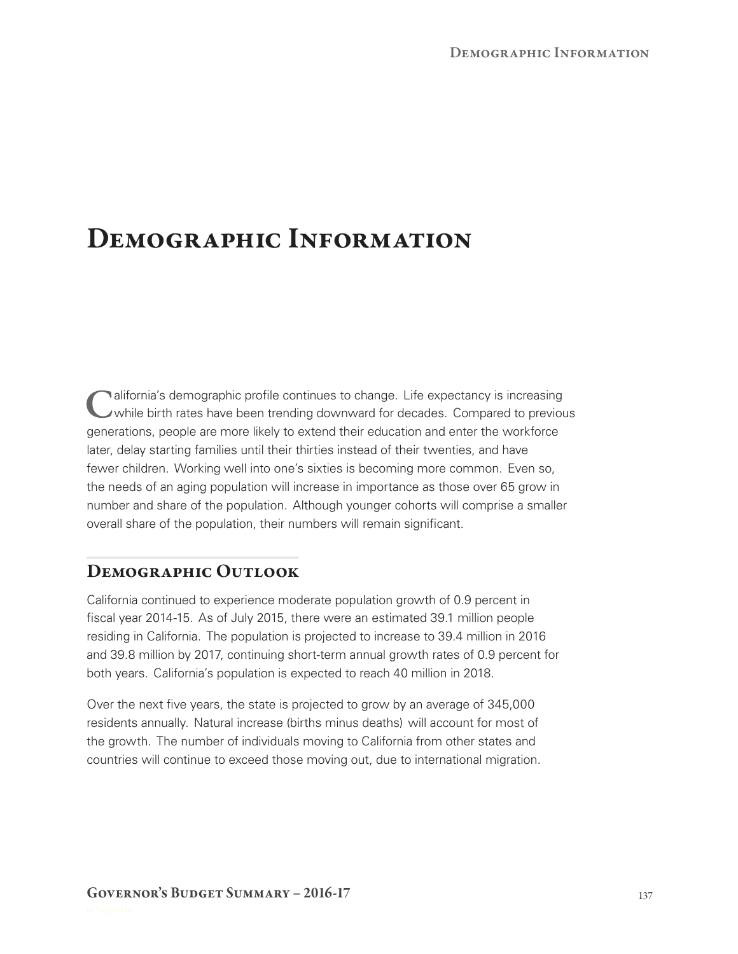## **Demographic Information**

**C**alifornia's demographic profile continues to change. Life expectancy is increasing while birth rates have been trending downward for decades. Compared to previous generations, people are more likely to extend their education and enter the workforce later, delay starting families until their thirties instead of their twenties, and have fewer children. Working well into one's sixties is becoming more common. Even so, the needs of an aging population will increase in importance as those over 65 grow in number and share of the population. Although younger cohorts will comprise a smaller overall share of the population, their numbers will remain significant.

## **Demographic Outlook**

California continued to experience moderate population growth of 0.9 percent in fiscal year 2014-15. As of July 2015, there were an estimated 39.1 million people residing in California. The population is projected to increase to 39.4 million in 2016 and 39.8 million by 2017, continuing short-term annual growth rates of 0.9 percent for both years. California's population is expected to reach 40 million in 2018.

Over the next five years, the state is projected to grow by an average of 345,000 residents annually. Natural increase (births minus deaths) will account for most of the growth. The number of individuals moving to California from other states and countries will continue to exceed those moving out, due to international migration.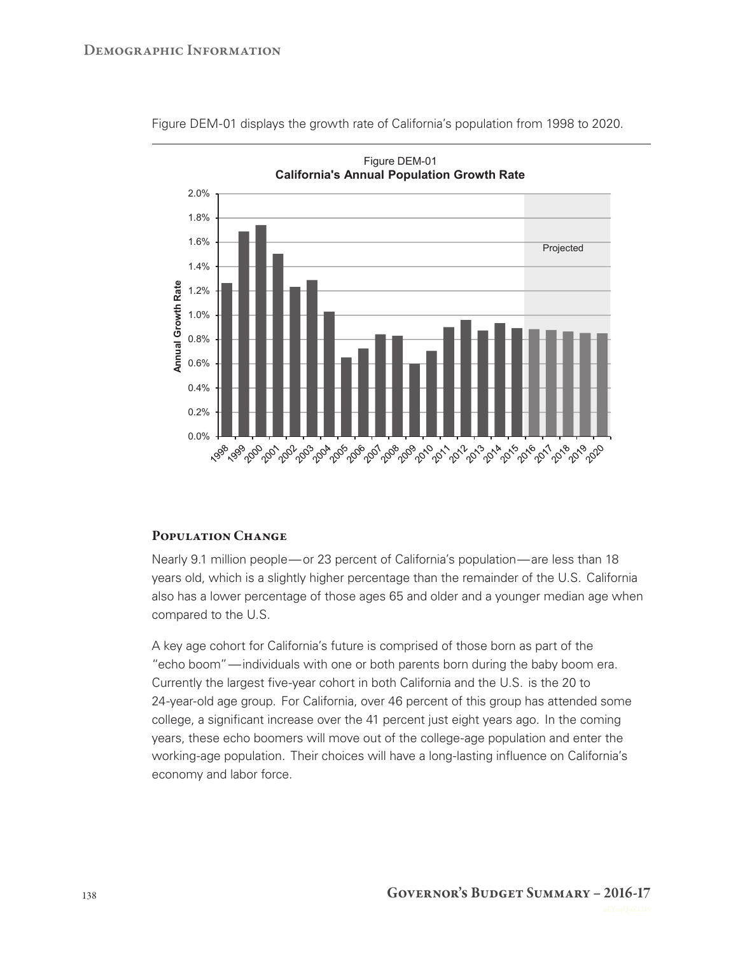

Figure DEM-01 displays the growth rate of California's population from 1998 to 2020.

## **Population Change**

Nearly 9.1 million people— or 23 percent of California's population— are less than 18 years old, which is a slightly higher percentage than the remainder of the U.S. California also has a lower percentage of those ages 65 and older and a younger median age when compared to the U.S.

A key age cohort for California's future is comprised of those born as part of the "echo boom"— individuals with one or both parents born during the baby boom era. Currently the largest five-year cohort in both California and the U.S. is the 20 to 24-year-old age group. For California, over 46 percent of this group has attended some college, a significant increase over the 41 percent just eight years ago. In the coming years, these echo boomers will move out of the college-age population and enter the working-age population. Their choices will have a long-lasting influence on California's economy and labor force.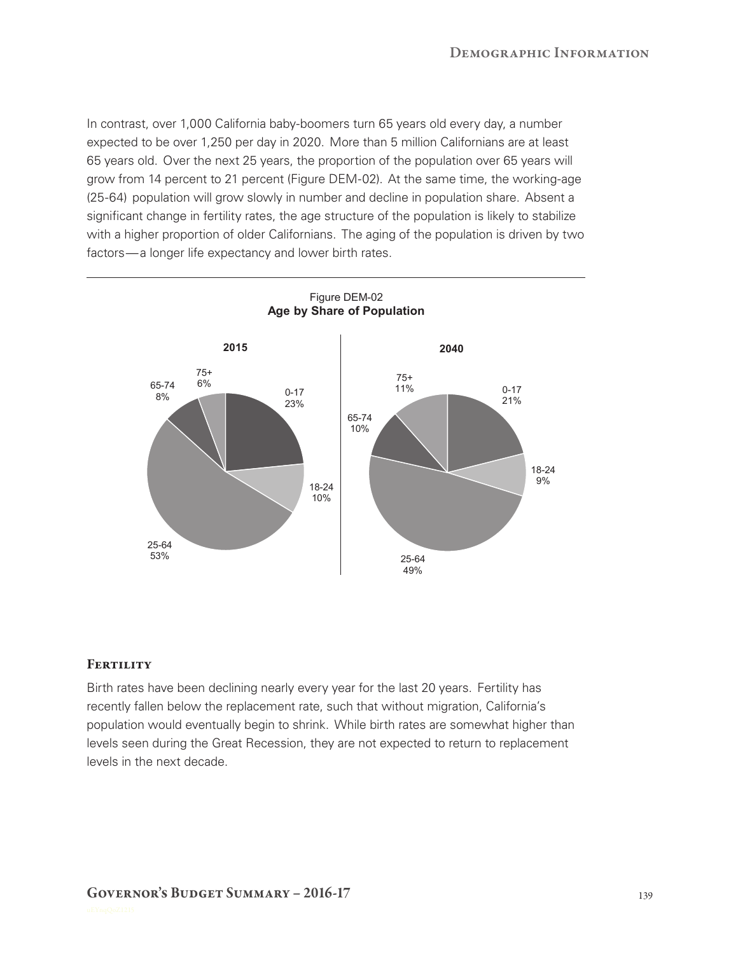In contrast, over 1,000 California baby-boomers turn 65 years old every day, a number expected to be over 1,250 per day in 2020. More than 5 million Californians are at least 65 years old. Over the next 25 years, the proportion of the population over 65 years will grow from 14 percent to 21 percent (Figure DEM-02). At the same time, the working-age (25-64) population will grow slowly in number and decline in population share. Absent a significant change in fertility rates, the age structure of the population is likely to stabilize with a higher proportion of older Californians. The aging of the population is driven by two factors— a longer life expectancy and lower birth rates.



## **FERTILITY**

Birth rates have been declining nearly every year for the last 20 years. Fertility has recently fallen below the replacement rate, such that without migration, California's population would eventually begin to shrink. While birth rates are somewhat higher than levels seen during the Great Recession, they are not expected to return to replacement levels in the next decade.